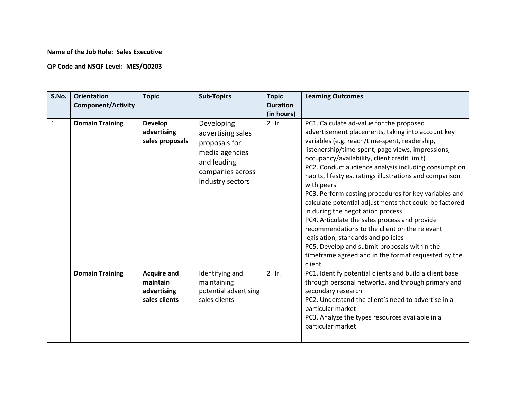## **Name of the Job Role: Sales Executive**

## **QP Code and NSQF Level: MES/Q0203**

| S.No.        | <b>Orientation</b><br><b>Component/Activity</b> | <b>Topic</b>                                                   | <b>Sub-Topics</b>                                                                                                         | <b>Topic</b><br><b>Duration</b><br>(in hours) | <b>Learning Outcomes</b>                                                                                                                                                                                                                                                                                                                                                                                                                                                                                                                                                                                                                                                                                                                                                                                |
|--------------|-------------------------------------------------|----------------------------------------------------------------|---------------------------------------------------------------------------------------------------------------------------|-----------------------------------------------|---------------------------------------------------------------------------------------------------------------------------------------------------------------------------------------------------------------------------------------------------------------------------------------------------------------------------------------------------------------------------------------------------------------------------------------------------------------------------------------------------------------------------------------------------------------------------------------------------------------------------------------------------------------------------------------------------------------------------------------------------------------------------------------------------------|
| $\mathbf{1}$ | <b>Domain Training</b>                          | <b>Develop</b><br>advertising<br>sales proposals               | Developing<br>advertising sales<br>proposals for<br>media agencies<br>and leading<br>companies across<br>industry sectors | 2 Hr.                                         | PC1. Calculate ad-value for the proposed<br>advertisement placements, taking into account key<br>variables (e.g. reach/time-spent, readership,<br>listenership/time-spent, page views, impressions,<br>occupancy/availability, client credit limit)<br>PC2. Conduct audience analysis including consumption<br>habits, lifestyles, ratings illustrations and comparison<br>with peers<br>PC3. Perform costing procedures for key variables and<br>calculate potential adjustments that could be factored<br>in during the negotiation process<br>PC4. Articulate the sales process and provide<br>recommendations to the client on the relevant<br>legislation, standards and policies<br>PC5. Develop and submit proposals within the<br>timeframe agreed and in the format requested by the<br>client |
|              | <b>Domain Training</b>                          | <b>Acquire and</b><br>maintain<br>advertising<br>sales clients | Identifying and<br>maintaining<br>potential advertising<br>sales clients                                                  | 2 Hr.                                         | PC1. Identify potential clients and build a client base<br>through personal networks, and through primary and<br>secondary research<br>PC2. Understand the client's need to advertise in a<br>particular market<br>PC3. Analyze the types resources available in a<br>particular market                                                                                                                                                                                                                                                                                                                                                                                                                                                                                                                 |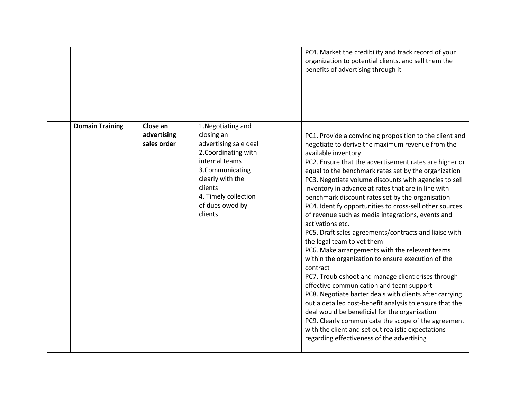|                        |                                        |                                                                                                                                                                                                             | PC4. Market the credibility and track record of your<br>organization to potential clients, and sell them the<br>benefits of advertising through it                                                                                                                                                                                                                                                                                                                                                                                                                                                                                                                                                                                                                                                                                                                                                                                                                                                                                                                                                                                                                                                          |
|------------------------|----------------------------------------|-------------------------------------------------------------------------------------------------------------------------------------------------------------------------------------------------------------|-------------------------------------------------------------------------------------------------------------------------------------------------------------------------------------------------------------------------------------------------------------------------------------------------------------------------------------------------------------------------------------------------------------------------------------------------------------------------------------------------------------------------------------------------------------------------------------------------------------------------------------------------------------------------------------------------------------------------------------------------------------------------------------------------------------------------------------------------------------------------------------------------------------------------------------------------------------------------------------------------------------------------------------------------------------------------------------------------------------------------------------------------------------------------------------------------------------|
| <b>Domain Training</b> | Close an<br>advertising<br>sales order | 1. Negotiating and<br>closing an<br>advertising sale deal<br>2. Coordinating with<br>internal teams<br>3.Communicating<br>clearly with the<br>clients<br>4. Timely collection<br>of dues owed by<br>clients | PC1. Provide a convincing proposition to the client and<br>negotiate to derive the maximum revenue from the<br>available inventory<br>PC2. Ensure that the advertisement rates are higher or<br>equal to the benchmark rates set by the organization<br>PC3. Negotiate volume discounts with agencies to sell<br>inventory in advance at rates that are in line with<br>benchmark discount rates set by the organisation<br>PC4. Identify opportunities to cross-sell other sources<br>of revenue such as media integrations, events and<br>activations etc.<br>PC5. Draft sales agreements/contracts and liaise with<br>the legal team to vet them<br>PC6. Make arrangements with the relevant teams<br>within the organization to ensure execution of the<br>contract<br>PC7. Troubleshoot and manage client crises through<br>effective communication and team support<br>PC8. Negotiate barter deals with clients after carrying<br>out a detailed cost-benefit analysis to ensure that the<br>deal would be beneficial for the organization<br>PC9. Clearly communicate the scope of the agreement<br>with the client and set out realistic expectations<br>regarding effectiveness of the advertising |